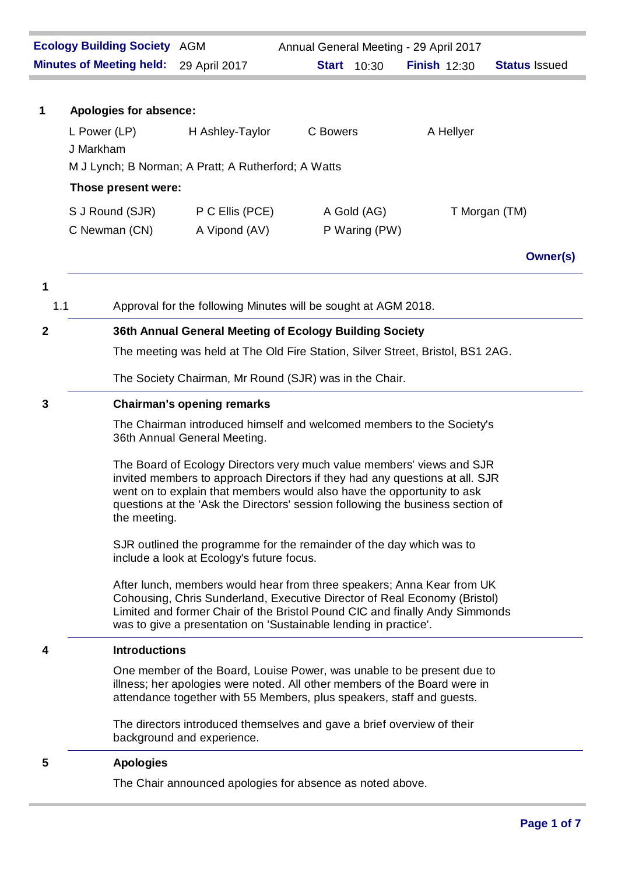|                  | <b>Ecology Building Society AGM</b>                 |                                                                                                                                                                                                                                                                                                                  |          |                    | Annual General Meeting - 29 April 2017 |                      |
|------------------|-----------------------------------------------------|------------------------------------------------------------------------------------------------------------------------------------------------------------------------------------------------------------------------------------------------------------------------------------------------------------------|----------|--------------------|----------------------------------------|----------------------|
|                  | <b>Minutes of Meeting held:</b>                     | 29 April 2017                                                                                                                                                                                                                                                                                                    |          | <b>Start</b> 10:30 | <b>Finish <math>12:30</math></b>       | <b>Status Issued</b> |
|                  |                                                     |                                                                                                                                                                                                                                                                                                                  |          |                    |                                        |                      |
| 1                | Apologies for absence:                              |                                                                                                                                                                                                                                                                                                                  |          |                    |                                        |                      |
|                  | L Power (LP)                                        | H Ashley-Taylor                                                                                                                                                                                                                                                                                                  | C Bowers |                    | A Hellyer                              |                      |
|                  | J Markham                                           |                                                                                                                                                                                                                                                                                                                  |          |                    |                                        |                      |
|                  | M J Lynch; B Norman; A Pratt; A Rutherford; A Watts |                                                                                                                                                                                                                                                                                                                  |          |                    |                                        |                      |
|                  | Those present were:                                 |                                                                                                                                                                                                                                                                                                                  |          |                    |                                        |                      |
|                  | S J Round (SJR)                                     | P C Ellis (PCE)                                                                                                                                                                                                                                                                                                  |          | A Gold (AG)        |                                        | T Morgan (TM)        |
|                  | C Newman (CN)                                       | A Vipond (AV)                                                                                                                                                                                                                                                                                                    |          | P Waring (PW)      |                                        |                      |
|                  |                                                     |                                                                                                                                                                                                                                                                                                                  |          |                    |                                        | <b>Owner(s)</b>      |
| 1                |                                                     |                                                                                                                                                                                                                                                                                                                  |          |                    |                                        |                      |
| 1.1              |                                                     | Approval for the following Minutes will be sought at AGM 2018.                                                                                                                                                                                                                                                   |          |                    |                                        |                      |
|                  |                                                     |                                                                                                                                                                                                                                                                                                                  |          |                    |                                        |                      |
| $\boldsymbol{2}$ |                                                     | 36th Annual General Meeting of Ecology Building Society                                                                                                                                                                                                                                                          |          |                    |                                        |                      |
|                  |                                                     | The meeting was held at The Old Fire Station, Silver Street, Bristol, BS1 2AG.                                                                                                                                                                                                                                   |          |                    |                                        |                      |
|                  |                                                     | The Society Chairman, Mr Round (SJR) was in the Chair.                                                                                                                                                                                                                                                           |          |                    |                                        |                      |
| 3                | <b>Chairman's opening remarks</b>                   |                                                                                                                                                                                                                                                                                                                  |          |                    |                                        |                      |
|                  |                                                     | The Chairman introduced himself and welcomed members to the Society's<br>36th Annual General Meeting.                                                                                                                                                                                                            |          |                    |                                        |                      |
|                  | the meeting.                                        | The Board of Ecology Directors very much value members' views and SJR<br>invited members to approach Directors if they had any questions at all. SJR<br>went on to explain that members would also have the opportunity to ask<br>questions at the 'Ask the Directors' session following the business section of |          |                    |                                        |                      |
|                  |                                                     | SJR outlined the programme for the remainder of the day which was to<br>include a look at Ecology's future focus.                                                                                                                                                                                                |          |                    |                                        |                      |
|                  |                                                     | After lunch, members would hear from three speakers; Anna Kear from UK<br>Cohousing, Chris Sunderland, Executive Director of Real Economy (Bristol)<br>Limited and former Chair of the Bristol Pound CIC and finally Andy Simmonds<br>was to give a presentation on 'Sustainable lending in practice'.           |          |                    |                                        |                      |
| 4                | <b>Introductions</b>                                |                                                                                                                                                                                                                                                                                                                  |          |                    |                                        |                      |
|                  |                                                     | One member of the Board, Louise Power, was unable to be present due to<br>illness; her apologies were noted. All other members of the Board were in<br>attendance together with 55 Members, plus speakers, staff and guests.                                                                                     |          |                    |                                        |                      |
|                  |                                                     | The directors introduced themselves and gave a brief overview of their<br>background and experience.                                                                                                                                                                                                             |          |                    |                                        |                      |
| 5                | <b>Apologies</b>                                    |                                                                                                                                                                                                                                                                                                                  |          |                    |                                        |                      |
|                  |                                                     | The Chair announced apologies for absence as noted above.                                                                                                                                                                                                                                                        |          |                    |                                        |                      |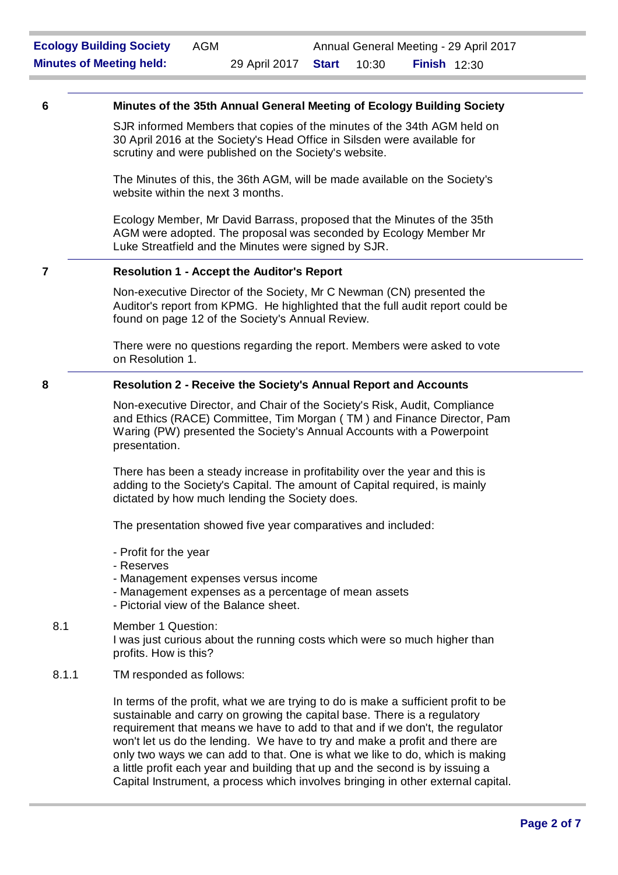## **6 Minutes of the 35th Annual General Meeting of Ecology Building Society**

SJR informed Members that copies of the minutes of the 34th AGM held on 30 April 2016 at the Society's Head Office in Silsden were available for scrutiny and were published on the Society's website.

The Minutes of this, the 36th AGM, will be made available on the Society's website within the next 3 months.

Ecology Member, Mr David Barrass, proposed that the Minutes of the 35th AGM were adopted. The proposal was seconded by Ecology Member Mr Luke Streatfield and the Minutes were signed by SJR.

#### **7 Resolution 1 - Accept the Auditor's Report**

Non-executive Director of the Society, Mr C Newman (CN) presented the Auditor's report from KPMG. He highlighted that the full audit report could be found on page 12 of the Society's Annual Review.

There were no questions regarding the report. Members were asked to vote on Resolution 1.

#### **8 Resolution 2 - Receive the Society's Annual Report and Accounts**

Non-executive Director, and Chair of the Society's Risk, Audit, Compliance and Ethics (RACE) Committee, Tim Morgan ( TM ) and Finance Director, Pam Waring (PW) presented the Society's Annual Accounts with a Powerpoint presentation.

There has been a steady increase in profitability over the year and this is adding to the Society's Capital. The amount of Capital required, is mainly dictated by how much lending the Society does.

The presentation showed five year comparatives and included:

- Profit for the year
- Reserves
- Management expenses versus income
- Management expenses as a percentage of mean assets
- Pictorial view of the Balance sheet.

# 8.1 Member 1 Question: I was just curious about the running costs which were so much higher than profits. How is this?

8.1.1 TM responded as follows:

In terms of the profit, what we are trying to do is make a sufficient profit to be sustainable and carry on growing the capital base. There is a regulatory requirement that means we have to add to that and if we don't, the regulator won't let us do the lending. We have to try and make a profit and there are only two ways we can add to that. One is what we like to do, which is making a little profit each year and building that up and the second is by issuing a Capital Instrument, a process which involves bringing in other external capital.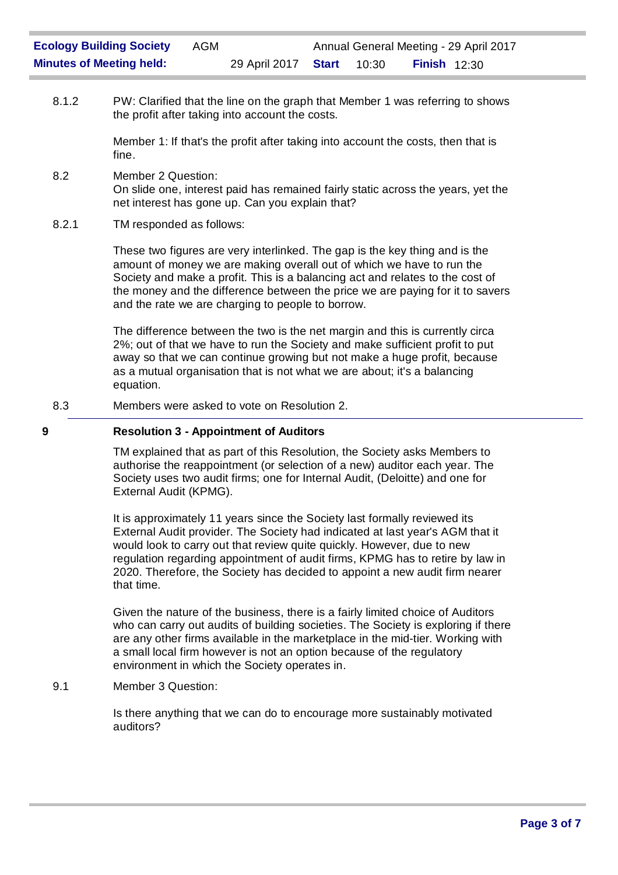8.1.2 PW: Clarified that the line on the graph that Member 1 was referring to shows the profit after taking into account the costs.

> Member 1: If that's the profit after taking into account the costs, then that is fine.

- 8.2 Member 2 Question: On slide one, interest paid has remained fairly static across the years, yet the net interest has gone up. Can you explain that?
- 8.2.1 TM responded as follows:

These two figures are very interlinked. The gap is the key thing and is the amount of money we are making overall out of which we have to run the Society and make a profit. This is a balancing act and relates to the cost of the money and the difference between the price we are paying for it to savers and the rate we are charging to people to borrow.

The difference between the two is the net margin and this is currently circa 2%; out of that we have to run the Society and make sufficient profit to put away so that we can continue growing but not make a huge profit, because as a mutual organisation that is not what we are about; it's a balancing equation.

8.3 Members were asked to vote on Resolution 2.

# **9 Resolution 3 - Appointment of Auditors**

TM explained that as part of this Resolution, the Society asks Members to authorise the reappointment (or selection of a new) auditor each year. The Society uses two audit firms; one for Internal Audit, (Deloitte) and one for External Audit (KPMG).

It is approximately 11 years since the Society last formally reviewed its External Audit provider. The Society had indicated at last year's AGM that it would look to carry out that review quite quickly. However, due to new regulation regarding appointment of audit firms, KPMG has to retire by law in 2020. Therefore, the Society has decided to appoint a new audit firm nearer that time.

Given the nature of the business, there is a fairly limited choice of Auditors who can carry out audits of building societies. The Society is exploring if there are any other firms available in the marketplace in the mid-tier. Working with a small local firm however is not an option because of the regulatory environment in which the Society operates in.

# 9.1 Member 3 Question:

Is there anything that we can do to encourage more sustainably motivated auditors?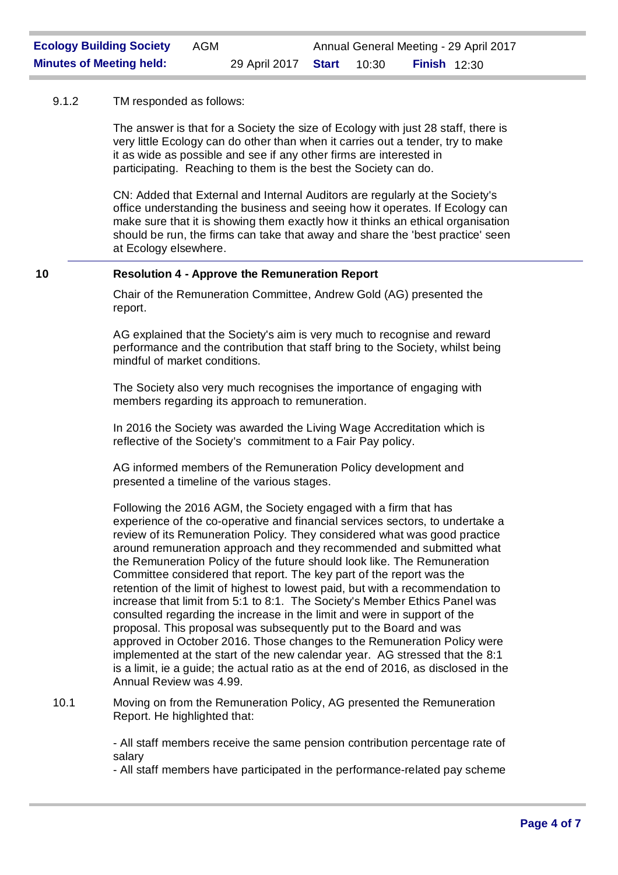## 9.1.2 TM responded as follows:

The answer is that for a Society the size of Ecology with just 28 staff, there is very little Ecology can do other than when it carries out a tender, try to make it as wide as possible and see if any other firms are interested in participating. Reaching to them is the best the Society can do.

CN: Added that External and Internal Auditors are regularly at the Society's office understanding the business and seeing how it operates. If Ecology can make sure that it is showing them exactly how it thinks an ethical organisation should be run, the firms can take that away and share the 'best practice' seen at Ecology elsewhere.

## **10 Resolution 4 - Approve the Remuneration Report**

Chair of the Remuneration Committee, Andrew Gold (AG) presented the report.

AG explained that the Society's aim is very much to recognise and reward performance and the contribution that staff bring to the Society, whilst being mindful of market conditions.

The Society also very much recognises the importance of engaging with members regarding its approach to remuneration.

In 2016 the Society was awarded the Living Wage Accreditation which is reflective of the Society's commitment to a Fair Pay policy.

AG informed members of the Remuneration Policy development and presented a timeline of the various stages.

Following the 2016 AGM, the Society engaged with a firm that has experience of the co-operative and financial services sectors, to undertake a review of its Remuneration Policy. They considered what was good practice around remuneration approach and they recommended and submitted what the Remuneration Policy of the future should look like. The Remuneration Committee considered that report. The key part of the report was the retention of the limit of highest to lowest paid, but with a recommendation to increase that limit from 5:1 to 8:1. The Society's Member Ethics Panel was consulted regarding the increase in the limit and were in support of the proposal. This proposal was subsequently put to the Board and was approved in October 2016. Those changes to the Remuneration Policy were implemented at the start of the new calendar year. AG stressed that the 8:1 is a limit, ie a guide; the actual ratio as at the end of 2016, as disclosed in the Annual Review was 4.99.

10.1 Moving on from the Remuneration Policy, AG presented the Remuneration Report. He highlighted that:

> - All staff members receive the same pension contribution percentage rate of salary

> - All staff members have participated in the performance-related pay scheme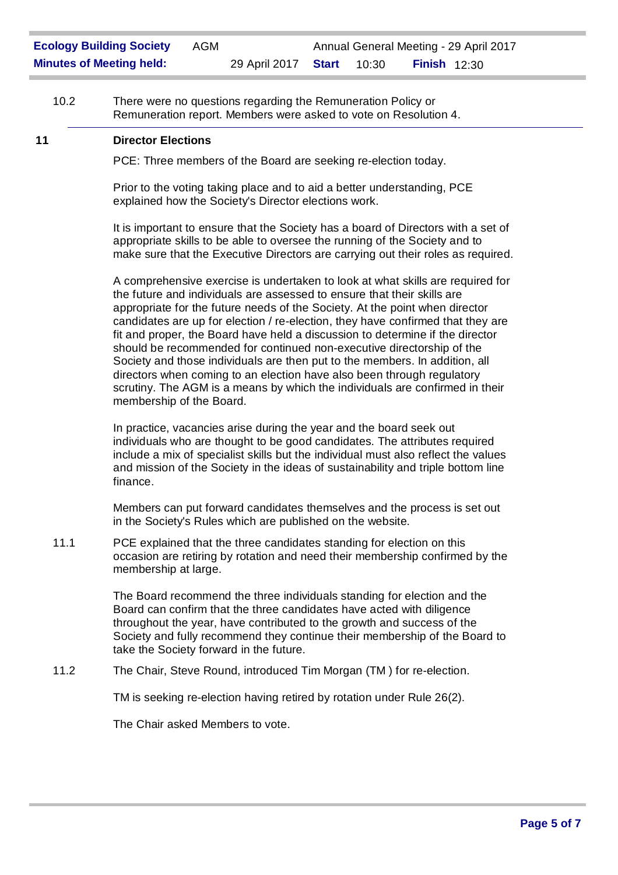10.2 There were no questions regarding the Remuneration Policy or Remuneration report. Members were asked to vote on Resolution 4.

### **11 Director Elections**

PCE: Three members of the Board are seeking re-election today.

Prior to the voting taking place and to aid a better understanding, PCE explained how the Society's Director elections work.

It is important to ensure that the Society has a board of Directors with a set of appropriate skills to be able to oversee the running of the Society and to make sure that the Executive Directors are carrying out their roles as required.

A comprehensive exercise is undertaken to look at what skills are required for the future and individuals are assessed to ensure that their skills are appropriate for the future needs of the Society. At the point when director candidates are up for election / re-election, they have confirmed that they are fit and proper, the Board have held a discussion to determine if the director should be recommended for continued non-executive directorship of the Society and those individuals are then put to the members. In addition, all directors when coming to an election have also been through regulatory scrutiny. The AGM is a means by which the individuals are confirmed in their membership of the Board.

In practice, vacancies arise during the year and the board seek out individuals who are thought to be good candidates. The attributes required include a mix of specialist skills but the individual must also reflect the values and mission of the Society in the ideas of sustainability and triple bottom line finance.

Members can put forward candidates themselves and the process is set out in the Society's Rules which are published on the website.

11.1 PCE explained that the three candidates standing for election on this occasion are retiring by rotation and need their membership confirmed by the membership at large.

> The Board recommend the three individuals standing for election and the Board can confirm that the three candidates have acted with diligence throughout the year, have contributed to the growth and success of the Society and fully recommend they continue their membership of the Board to take the Society forward in the future.

11.2 The Chair, Steve Round, introduced Tim Morgan (TM ) for re-election.

TM is seeking re-election having retired by rotation under Rule 26(2).

The Chair asked Members to vote.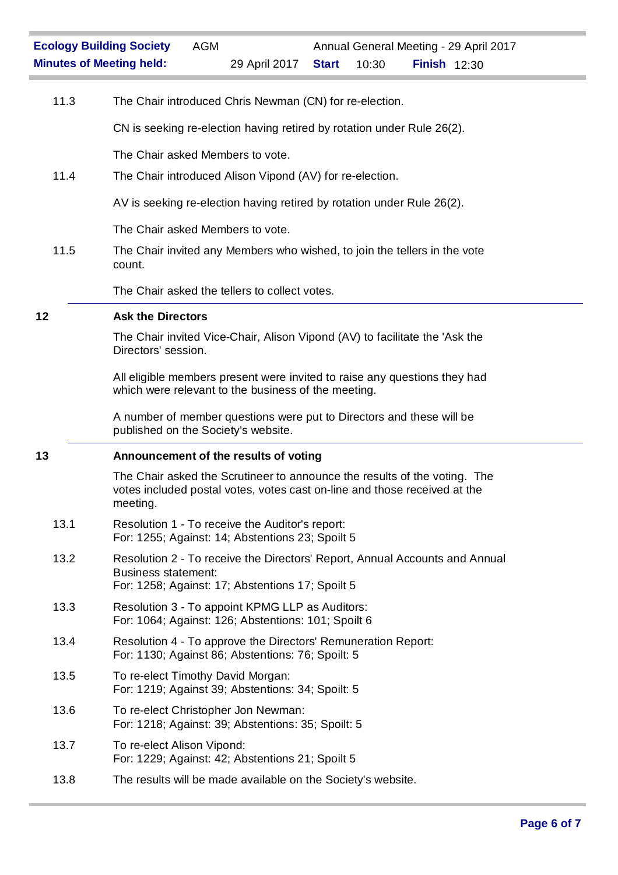| 11.3 | The Chair introduced Chris Newman (CN) for re-election.                                                                                                            |  |  |  |  |  |
|------|--------------------------------------------------------------------------------------------------------------------------------------------------------------------|--|--|--|--|--|
|      | CN is seeking re-election having retired by rotation under Rule 26(2).                                                                                             |  |  |  |  |  |
|      | The Chair asked Members to vote.                                                                                                                                   |  |  |  |  |  |
| 11.4 | The Chair introduced Alison Vipond (AV) for re-election.                                                                                                           |  |  |  |  |  |
|      | AV is seeking re-election having retired by rotation under Rule 26(2).                                                                                             |  |  |  |  |  |
|      | The Chair asked Members to vote.                                                                                                                                   |  |  |  |  |  |
| 11.5 | The Chair invited any Members who wished, to join the tellers in the vote<br>count.                                                                                |  |  |  |  |  |
|      | The Chair asked the tellers to collect votes.                                                                                                                      |  |  |  |  |  |
| 12   | <b>Ask the Directors</b>                                                                                                                                           |  |  |  |  |  |
|      | The Chair invited Vice-Chair, Alison Vipond (AV) to facilitate the 'Ask the<br>Directors' session.                                                                 |  |  |  |  |  |
|      | All eligible members present were invited to raise any questions they had<br>which were relevant to the business of the meeting.                                   |  |  |  |  |  |
|      | A number of member questions were put to Directors and these will be<br>published on the Society's website.                                                        |  |  |  |  |  |
|      |                                                                                                                                                                    |  |  |  |  |  |
| 13   | Announcement of the results of voting                                                                                                                              |  |  |  |  |  |
|      | The Chair asked the Scrutineer to announce the results of the voting. The<br>votes included postal votes, votes cast on-line and those received at the<br>meeting. |  |  |  |  |  |
| 13.1 | Resolution 1 - To receive the Auditor's report:<br>For: 1255; Against: 14; Abstentions 23; Spoilt 5                                                                |  |  |  |  |  |
| 13.2 | Resolution 2 - To receive the Directors' Report, Annual Accounts and Annual<br><b>Business statement:</b><br>For: 1258; Against: 17; Abstentions 17; Spoilt 5      |  |  |  |  |  |
| 13.3 | Resolution 3 - To appoint KPMG LLP as Auditors:<br>For: 1064; Against: 126; Abstentions: 101; Spoilt 6                                                             |  |  |  |  |  |
| 13.4 | Resolution 4 - To approve the Directors' Remuneration Report:<br>For: 1130; Against 86; Abstentions: 76; Spoilt: 5                                                 |  |  |  |  |  |
| 13.5 | To re-elect Timothy David Morgan:<br>For: 1219; Against 39; Abstentions: 34; Spoilt: 5                                                                             |  |  |  |  |  |
| 13.6 | To re-elect Christopher Jon Newman:<br>For: 1218; Against: 39; Abstentions: 35; Spoilt: 5                                                                          |  |  |  |  |  |
| 13.7 | To re-elect Alison Vipond:<br>For: 1229; Against: 42; Abstentions 21; Spoilt 5                                                                                     |  |  |  |  |  |